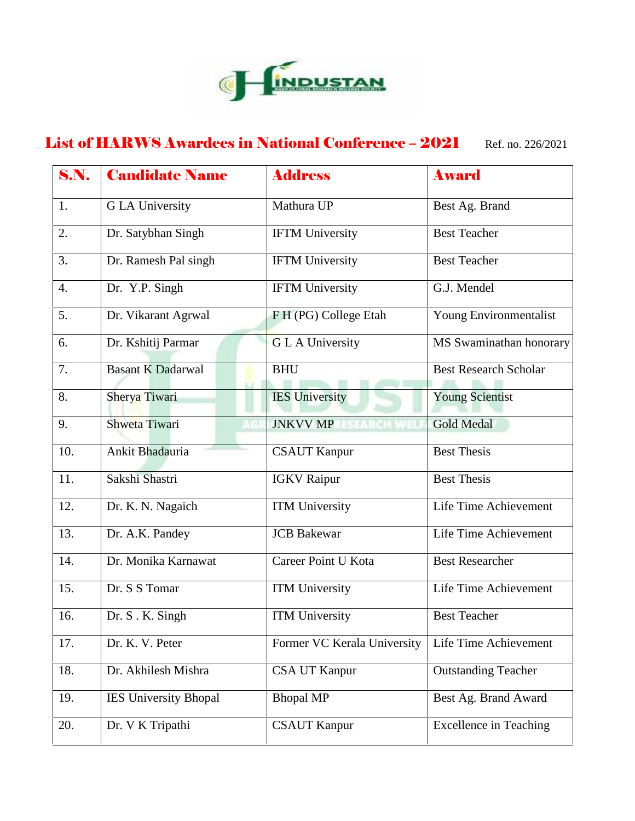

## List of HARWS Awardees in National Conference – 2021 Ref. no. 226/2021

| <b>S.N.</b>      | <b>Candidate Name</b>        | <b>Address</b>              | <b>Award</b>                  |
|------------------|------------------------------|-----------------------------|-------------------------------|
| 1.               | <b>GLA University</b>        | Mathura UP                  | Best Ag. Brand                |
| 2.               | Dr. Satybhan Singh           | <b>IFTM University</b>      | <b>Best Teacher</b>           |
| 3.               | Dr. Ramesh Pal singh         | <b>IFTM University</b>      | <b>Best Teacher</b>           |
| $\overline{4}$ . | Dr. Y.P. Singh               | <b>IFTM University</b>      | G.J. Mendel                   |
| 5.               | Dr. Vikarant Agrwal          | F H (PG) College Etah       | Young Environmentalist        |
| 6.               | Dr. Kshitij Parmar           | <b>GLA University</b>       | MS Swaminathan honorary       |
| 7.               | <b>Basant K Dadarwal</b>     | <b>BHU</b>                  | <b>Best Research Scholar</b>  |
| 8.               | Sherya Tiwari                | <b>IES</b> University       | <b>Young Scientist</b>        |
| 9.               | Shweta Tiwari                | <b>JNKVV MP</b>             | <b>Gold Medal</b>             |
| 10.              | Ankit Bhadauria              | <b>CSAUT Kanpur</b>         | <b>Best Thesis</b>            |
| 11.              | Sakshi Shastri               | <b>IGKV</b> Raipur          | <b>Best Thesis</b>            |
| 12.              | Dr. K. N. Nagaich            | <b>ITM University</b>       | Life Time Achievement         |
| 13.              | Dr. A.K. Pandey              | <b>JCB</b> Bakewar          | Life Time Achievement         |
| 14.              | Dr. Monika Karnawat          | Career Point U Kota         | <b>Best Researcher</b>        |
| 15.              | Dr. S S Tomar                | <b>ITM University</b>       | Life Time Achievement         |
| 16.              | Dr. S. K. Singh              | <b>ITM</b> University       | <b>Best Teacher</b>           |
| 17.              | Dr. K. V. Peter              | Former VC Kerala University | Life Time Achievement         |
| 18.              | Dr. Akhilesh Mishra          | <b>CSA UT Kanpur</b>        | <b>Outstanding Teacher</b>    |
| 19.              | <b>IES University Bhopal</b> | <b>Bhopal MP</b>            | Best Ag. Brand Award          |
| 20.              | Dr. V K Tripathi             | <b>CSAUT Kanpur</b>         | <b>Excellence in Teaching</b> |